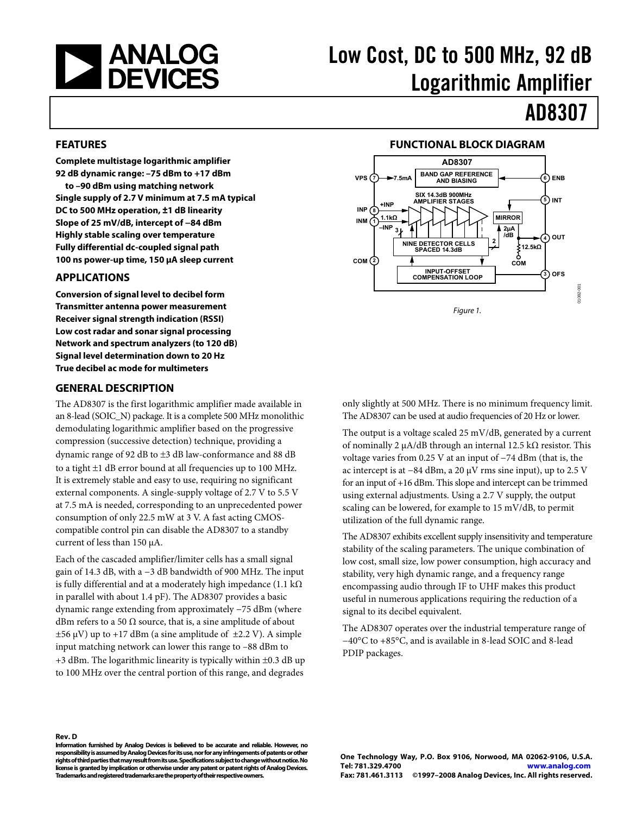<span id="page-0-0"></span>

# Low Cost, DC to 500 MHz, 92 dB Logarithmic Amplifier

# AD8307

#### **FEATURES**

**Complete multistage logarithmic amplifier 92 dB dynamic range: –75 dBm to +17 dBm** 

**to –90 dBm using matching network Single supply of 2.7 V minimum at 7.5 mA typical DC to 500 MHz operation, ±1 dB linearity Slope of 25 mV/dB, intercept of −84 dBm Highly stable scaling over temperature Fully differential dc-coupled signal path 100 ns power-up time, 150 μA sleep current** 

### **APPLICATIONS**

**Conversion of signal level to decibel form Transmitter antenna power measurement Receiver signal strength indication (RSSI) Low cost radar and sonar signal processing Network and spectrum analyzers (to 120 dB) Signal level determination down to 20 Hz True decibel ac mode for multimeters** 

### **GENERAL DESCRIPTION**

The AD8307 is the first logarithmic amplifier made available in an 8-lead (SOIC\_N) package. It is a complete 500 MHz monolithic demodulating logarithmic amplifier based on the progressive compression (successive detection) technique, providing a dynamic range of 92 dB to ±3 dB law-conformance and 88 dB to a tight ±1 dB error bound at all frequencies up to 100 MHz. It is extremely stable and easy to use, requiring no significant external components. A single-supply voltage of 2.7 V to 5.5 V at 7.5 mA is needed, corresponding to an unprecedented power consumption of only 22.5 mW at 3 V. A fast acting CMOScompatible control pin can disable the AD8307 to a standby current of less than 150 μA.

Each of the cascaded amplifier/limiter cells has a small signal gain of 14.3 dB, with a −3 dB bandwidth of 900 MHz. The input is fully differential and at a moderately high impedance (1.1 k $\Omega$ ) in parallel with about 1.4 pF). The AD8307 provides a basic dynamic range extending from approximately −75 dBm (where dBm refers to a 50  $\Omega$  source, that is, a sine amplitude of about  $\pm 56 \mu V$ ) up to  $+17 \text{ dBm}$  (a sine amplitude of  $\pm 2.2 \text{ V}$ ). A simple input matching network can lower this range to –88 dBm to  $+3$  dBm. The logarithmic linearity is typically within  $\pm 0.3$  dB up to 100 MHz over the central portion of this range, and degrades

### **FUNCTIONAL BLOCK DIAGRAM**



only slightly at 500 MHz. There is no minimum frequency limit. The AD8307 can be used at audio frequencies of 20 Hz or lower.

The output is a voltage scaled 25 mV/dB, generated by a current of nominally 2 μA/dB through an internal 12.5 kΩ resistor. This voltage varies from 0.25 V at an input of −74 dBm (that is, the ac intercept is at −84 dBm, a 20 μV rms sine input), up to 2.5 V for an input of +16 dBm. This slope and intercept can be trimmed using external adjustments. Using a 2.7 V supply, the output scaling can be lowered, for example to 15 mV/dB, to permit utilization of the full dynamic range.

The AD8307 exhibits excellent supply insensitivity and temperature stability of the scaling parameters. The unique combination of low cost, small size, low power consumption, high accuracy and stability, very high dynamic range, and a frequency range encompassing audio through IF to UHF makes this product useful in numerous applications requiring the reduction of a signal to its decibel equivalent.

The AD8307 operates over the industrial temperature range of −40°C to +85°C, and is available in 8-lead SOIC and 8-lead PDIP packages.

**Rev. D** 

**Information furnished by Analog Devices is believed to be accurate and reliable. However, no responsibility is assumed by Analog Devices for its use, nor for any infringements of patents or other rights of third parties that may result from its use. Specifications subject to change without notice. No license is granted by implication or otherwise under any patent or patent rights of Analog Devices. Trademarks and registered trademarks are the property of their respective owners.**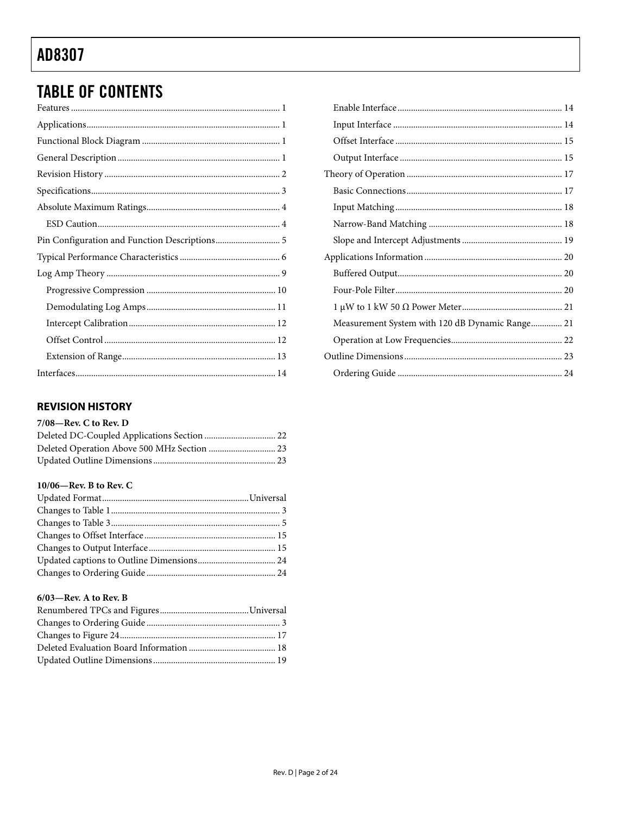# <span id="page-1-0"></span>**TABLE OF CONTENTS**

### **REVISION HISTORY**

#### 7/08-Rev. C to Rev. D

#### 10/06-Rev. B to Rev. C

#### $6/03$ -Rev. A to Rev. B

| Measurement System with 120 dB Dynamic Range 21 |  |
|-------------------------------------------------|--|
|                                                 |  |
|                                                 |  |
|                                                 |  |
|                                                 |  |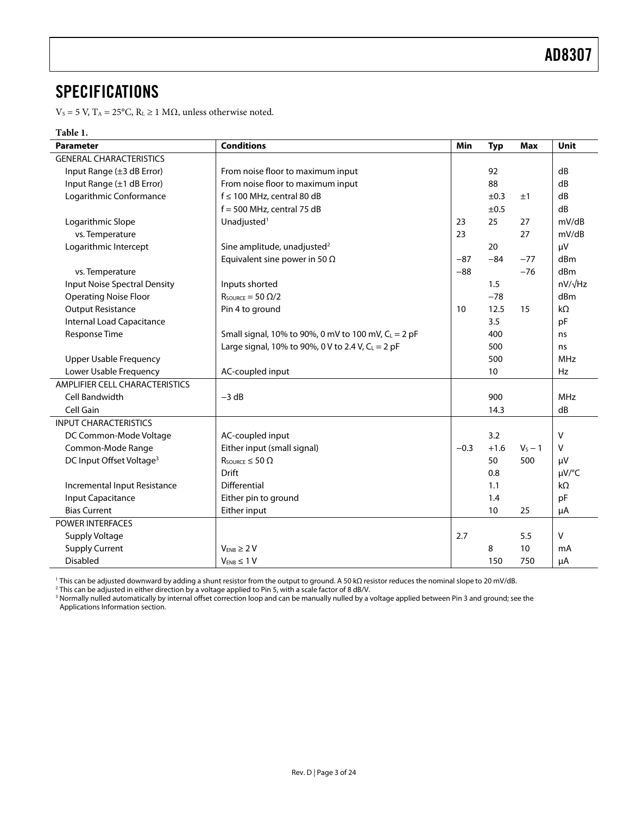### <span id="page-2-0"></span>SPECIFICATIONS

 $V_s = 5$  V, T<sub>A</sub> = 25°C, R<sub>L</sub> ≥ 1 MΩ, unless otherwise noted.

#### **Table 1.**

| <b>Parameter</b>                     | <b>Conditions</b>                                      | Min    | <b>Typ</b> | <b>Max</b> | Unit        |
|--------------------------------------|--------------------------------------------------------|--------|------------|------------|-------------|
| <b>GENERAL CHARACTERISTICS</b>       |                                                        |        |            |            |             |
| Input Range (±3 dB Error)            | From noise floor to maximum input                      |        | 92         |            | dB          |
| Input Range (±1 dB Error)            | From noise floor to maximum input                      |        | 88         |            | dB          |
| Logarithmic Conformance              | $f \le 100$ MHz, central 80 dB                         |        | ±0.3       | ±1         | dB          |
|                                      | $f = 500$ MHz, central 75 dB                           |        | ±0.5       |            | dB          |
| Logarithmic Slope                    | Unadjusted <sup>1</sup>                                | 23     | 25         | 27         | mV/dB       |
| vs. Temperature                      |                                                        | 23     |            | 27         | mV/dB       |
| Logarithmic Intercept                | Sine amplitude, unadjusted <sup>2</sup>                |        | 20         |            | μV          |
|                                      | Equivalent sine power in 50 $\Omega$                   | $-87$  | $-84$      | $-77$      | dBm         |
| vs. Temperature                      |                                                        | $-88$  |            | $-76$      | dBm         |
| <b>Input Noise Spectral Density</b>  | Inputs shorted                                         |        | 1.5        |            | nV/√Hz      |
| <b>Operating Noise Floor</b>         | $R_{\text{SOWRCE}} = 50 \Omega/2$                      |        | $-78$      |            | dBm         |
| <b>Output Resistance</b>             | Pin 4 to ground                                        | 10     | 12.5       | 15         | $k\Omega$   |
| Internal Load Capacitance            |                                                        |        | 3.5        |            | pF          |
| Response Time                        | Small signal, 10% to 90%, 0 mV to 100 mV, $C_L = 2$ pF |        | 400        |            | ns          |
|                                      | Large signal, 10% to 90%, 0 V to 2.4 V, $C_L = 2$ pF   |        | 500        |            | ns          |
| <b>Upper Usable Frequency</b>        |                                                        |        | 500        |            | <b>MHz</b>  |
| Lower Usable Frequency               | AC-coupled input                                       |        | 10         |            | Hz          |
| AMPLIFIER CELL CHARACTERISTICS       |                                                        |        |            |            |             |
| Cell Bandwidth                       | $-3 dB$                                                |        | 900        |            | <b>MHz</b>  |
| Cell Gain                            |                                                        |        | 14.3       |            | dB          |
| <b>INPUT CHARACTERISTICS</b>         |                                                        |        |            |            |             |
| DC Common-Mode Voltage               | AC-coupled input                                       |        | 3.2        |            | V           |
| Common-Mode Range                    | Either input (small signal)                            | $-0.3$ | $+1.6$     | $V_s - 1$  | V           |
| DC Input Offset Voltage <sup>3</sup> | $R_{\text{SOURCE}} \leq 50 \Omega$                     |        | 50         | 500        | $\mu$ V     |
|                                      | Drift                                                  |        | 0.8        |            | $\mu V$ /°C |
| Incremental Input Resistance         | Differential                                           |        | 1.1        |            | $k\Omega$   |
| <b>Input Capacitance</b>             | Either pin to ground                                   |        | 1.4        |            | pF          |
| <b>Bias Current</b>                  | Either input                                           |        | 10         | 25         | μA          |
| <b>POWER INTERFACES</b>              |                                                        |        |            |            |             |
| Supply Voltage                       |                                                        | 2.7    |            | 5.5        | V           |
| <b>Supply Current</b>                | $V_{ENB} \geq 2V$                                      |        | 8          | 10         | mA          |
| <b>Disabled</b>                      | $V_{ENB} \leq 1 V$                                     |        | 150        | 750        | μA          |

<sup>1</sup> This can be adjusted downward by adding a shunt resistor from the output to ground. A 50 kΩ resistor reduces the nominal slope to 20 mV/dB.

' This can be adjusted downward by adding a shunt resistor from the output to ground. A 50 kΩ resistor reduces the nominal slope to 20 mV/dB.<br><sup>2</sup> This can be adjusted in either direction by a voltage applied to Pin 5, wit [Applications Information](#page-19-1) section.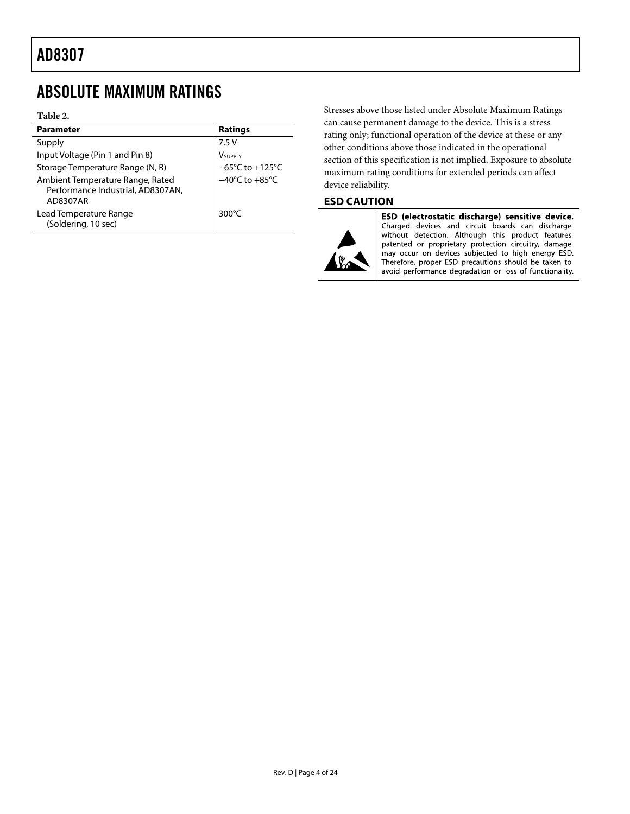### <span id="page-3-0"></span>ABSOLUTE MAXIMUM RATINGS

#### **Table 2.**

| <b>Parameter</b>                                                                  | <b>Ratings</b>                       |
|-----------------------------------------------------------------------------------|--------------------------------------|
| Supply                                                                            | 7.5V                                 |
| Input Voltage (Pin 1 and Pin 8)                                                   | <b>V</b> supply                      |
| Storage Temperature Range (N, R)                                                  | $-65^{\circ}$ C to +125 $^{\circ}$ C |
| Ambient Temperature Range, Rated<br>Performance Industrial, AD8307AN,<br>AD8307AR | $-40^{\circ}$ C to $+85^{\circ}$ C   |
| Lead Temperature Range<br>(Soldering, 10 sec)                                     | 300 $\degree$ C                      |

Stresses above those listed under Absolute Maximum Ratings can cause permanent damage to the device. This is a stress rating only; functional operation of the device at these or any other conditions above those indicated in the operational section of this specification is not implied. Exposure to absolute maximum rating conditions for extended periods can affect device reliability.

### **ESD CAUTION**



ESD (electrostatic discharge) sensitive device. Charged devices and circuit boards can discharge without detection. Although this product features patented or proprietary protection circuitry, damage may occur on devices subjected to high energy ESD.<br>Therefore, proper ESD precautions should be taken to avoid performance degradation or loss of functionality.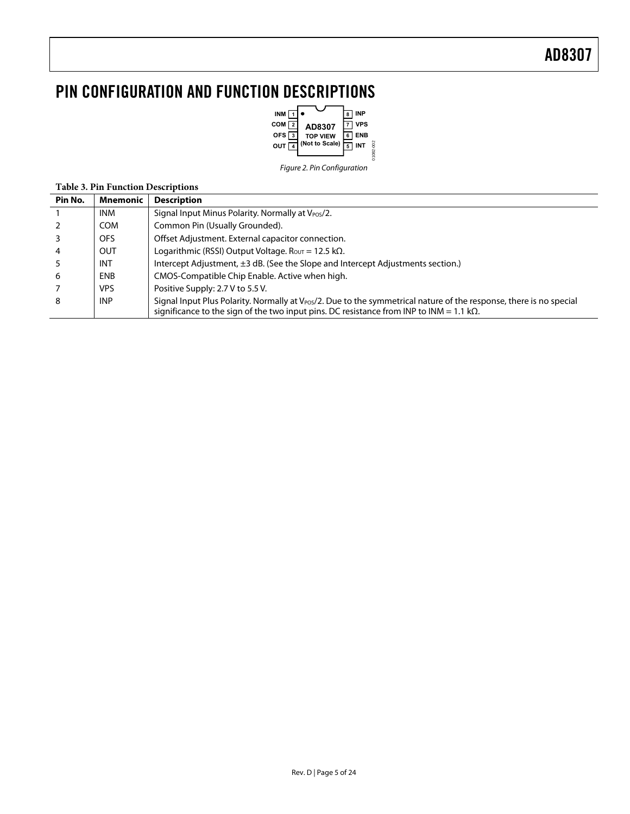# <span id="page-4-0"></span>PIN CONFIGURATION AND FUNCTION DESCRIPTIONS



**Table 3. Pin Function Descriptions** 

| Pin No. | Mnemonic   | <b>Description</b>                                                                                                                                                                                                                  |
|---------|------------|-------------------------------------------------------------------------------------------------------------------------------------------------------------------------------------------------------------------------------------|
|         | <b>INM</b> | Signal Input Minus Polarity. Normally at V <sub>POS</sub> /2.                                                                                                                                                                       |
|         | <b>COM</b> | Common Pin (Usually Grounded).                                                                                                                                                                                                      |
|         | OFS        | Offset Adjustment. External capacitor connection.                                                                                                                                                                                   |
| 4       | <b>OUT</b> | Logarithmic (RSSI) Output Voltage. R <sub>OVT</sub> = 12.5 k $\Omega$ .                                                                                                                                                             |
|         | <b>INT</b> | Intercept Adjustment, $\pm 3$ dB. (See the Slope and Intercept Adjustments section.)                                                                                                                                                |
| 6       | <b>ENB</b> | CMOS-Compatible Chip Enable. Active when high.                                                                                                                                                                                      |
|         | <b>VPS</b> | Positive Supply: 2.7 V to 5.5 V.                                                                                                                                                                                                    |
| 8       | <b>INP</b> | Signal Input Plus Polarity. Normally at V <sub>POS</sub> /2. Due to the symmetrical nature of the response, there is no special<br>significance to the sign of the two input pins. DC resistance from INP to INM = 1.1 k $\Omega$ . |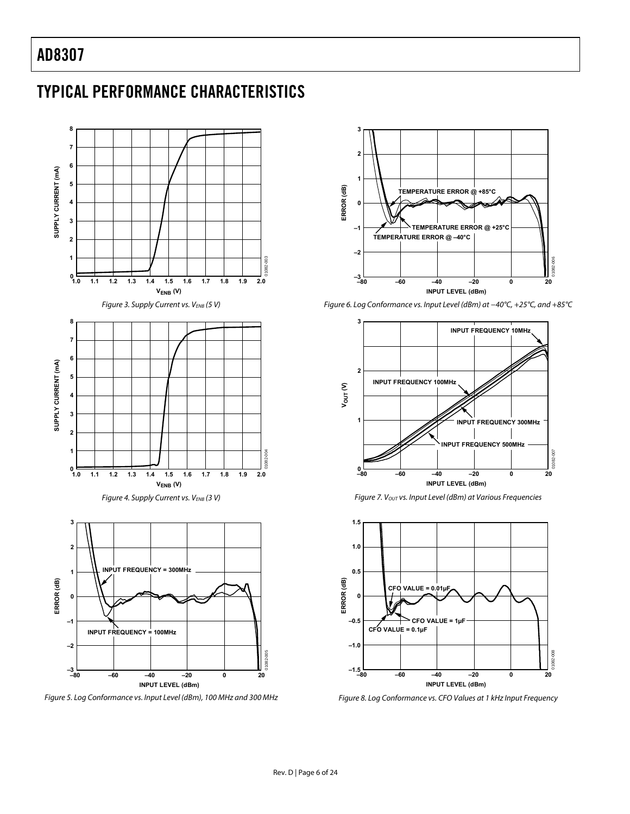# <span id="page-5-0"></span>TYPICAL PERFORMANCE CHARACTERISTICS



Figure 5. Log Conformance vs. Input Level (dBm), 100 MHz and 300 MHz



Figure 6. Log Conformance vs. Input Level (dBm) at −40°C, +25°C, and +85°C



Figure 7.  $V_{OUT}$  vs. Input Level (dBm) at Various Frequencies



Figure 8. Log Conformance vs. CFO Values at 1 kHz Input Frequency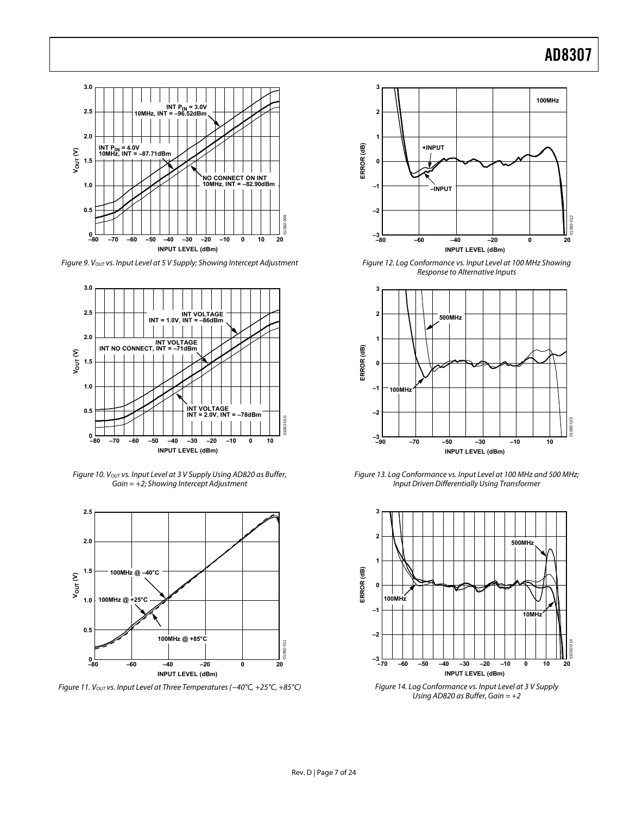

Figure 9. Vout vs. Input Level at 5 V Supply; Showing Intercept Adjustment



Figure 10. Vout vs. Input Level at 3 V Supply Using AD820 as Buffer, Gain = +2; Showing Intercept Adjustment



Figure 11. Vout vs. Input Level at Three Temperatures (-40°C, +25°C, +85°C)



Figure 12. Log Conformance vs. Input Level at 100 MHz Showing Response to Alternative Inputs



Figure 13. Log Conformance vs. Input Level at 100 MHz and 500 MHz; Input Driven Differentially Using Transformer



Figure 14. Log Conformance vs. Input Level at 3 V Supply Using AD820 as Buffer, Gain =  $+2$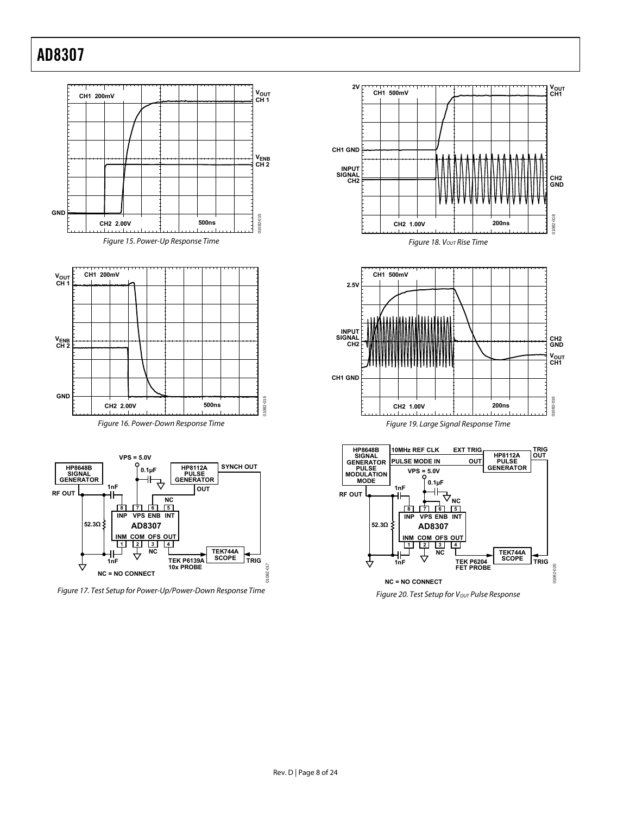

Figure 17. Test Setup for Power-Up/Power-Down Response Time





Figure 19. Large Signal Response Time



Figure 20. Test Setup for V<sub>OUT</sub> Pulse Response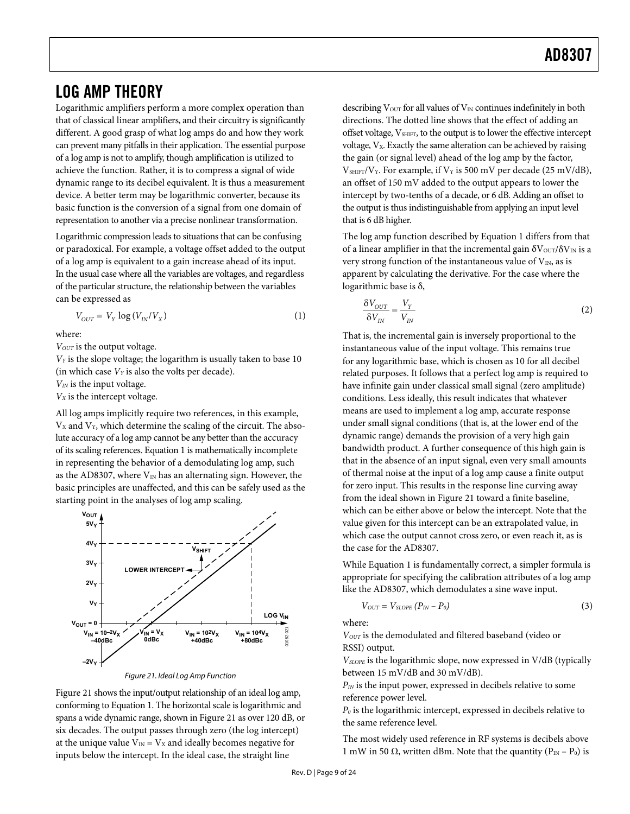### <span id="page-8-0"></span>LOG AMP THEORY

Logarithmic amplifiers perform a more complex operation than that of classical linear amplifiers, and their circuitry is significantly different. A good grasp of what log amps do and how they work can prevent many pitfalls in their application. The essential purpose of a log amp is not to amplify, though amplification is utilized to achieve the function. Rather, it is to compress a signal of wide dynamic range to its decibel equivalent. It is thus a measurement device. A better term may be logarithmic converter, because its basic function is the conversion of a signal from one domain of representation to another via a precise nonlinear transformation.

Logarithmic compression leads to situations that can be confusing or paradoxical. For example, a voltage offset added to the output of a log amp is equivalent to a gain increase ahead of its input. In the usual case where all the variables are voltages, and regardless of the particular structure, the relationship between the variables can be expressed as

$$
V_{OUT} = V_Y \log \left( V_{IN}/V_X \right) \tag{1}
$$

where:

 $V_{OUT}$  is the output voltage.

*VY* is the slope voltage; the logarithm is usually taken to base 10 (in which case  $V_Y$  is also the volts per decade).

*VIN* is the input voltage.

*VX* is the intercept voltage.

All log amps implicitly require two references, in this example,  $V_X$  and  $V_Y$ , which determine the scaling of the circuit. The absolute accuracy of a log amp cannot be any better than the accuracy of its scaling references. Equation 1 is mathematically incomplete in representing the behavior of a demodulating log amp, such as the AD8307, where  $V_{IN}$  has an alternating sign. However, the basic principles are unaffected, and this can be safely used as the starting point in the analyses of log amp scaling.



Figure 21. Ideal Log Amp Function

<span id="page-8-1"></span>[Figure 21](#page-8-1) shows the input/output relationship of an ideal log amp, conforming to Equation 1. The horizontal scale is logarithmic and spans a wide dynamic range, shown in [Figure 21](#page-8-1) as over 120 dB, or six decades. The output passes through zero (the log intercept) at the unique value  $V_{IN} = V_X$  and ideally becomes negative for inputs below the intercept. In the ideal case, the straight line

describing  $V<sub>OUT</sub>$  for all values of  $V<sub>IN</sub>$  continues indefinitely in both directions. The dotted line shows that the effect of adding an offset voltage,  $V_{\text{SHIFT}}$ , to the output is to lower the effective intercept voltage,  $V_x$ . Exactly the same alteration can be achieved by raising the gain (or signal level) ahead of the log amp by the factor,  $V<sub>SHIFT</sub>/V<sub>Y</sub>$ . For example, if  $V<sub>Y</sub>$  is 500 mV per decade (25 mV/dB), an offset of 150 mV added to the output appears to lower the intercept by two-tenths of a decade, or 6 dB. Adding an offset to the output is thus indistinguishable from applying an input level that is 6 dB higher.

The log amp function described by Equation 1 differs from that of a linear amplifier in that the incremental gain  $\delta V_{\text{OUT}}/\delta V_{\text{IN}}$  is a very strong function of the instantaneous value of  $V_{IN}$ , as is apparent by calculating the derivative. For the case where the logarithmic base is δ,

$$
\frac{\delta V_{OUT}}{\delta V_{IN}} = \frac{V_Y}{V_{IN}}
$$
 (2)

That is, the incremental gain is inversely proportional to the instantaneous value of the input voltage. This remains true for any logarithmic base, which is chosen as 10 for all decibel related purposes. It follows that a perfect log amp is required to have infinite gain under classical small signal (zero amplitude) conditions. Less ideally, this result indicates that whatever means are used to implement a log amp, accurate response under small signal conditions (that is, at the lower end of the dynamic range) demands the provision of a very high gain bandwidth product. A further consequence of this high gain is that in the absence of an input signal, even very small amounts of thermal noise at the input of a log amp cause a finite output for zero input. This results in the response line curving away from the ideal shown in [Figure 21](#page-8-1) toward a finite baseline, which can be either above or below the intercept. Note that the value given for this intercept can be an extrapolated value, in which case the output cannot cross zero, or even reach it, as is the case for the AD8307.

While Equation 1 is fundamentally correct, a simpler formula is appropriate for specifying the calibration attributes of a log amp like the AD8307, which demodulates a sine wave input.

$$
V_{OUT} = V_{SLOPE} (P_{IN} - P_0) \tag{3}
$$

where:

*VOUT* is the demodulated and filtered baseband (video or RSSI) output.

*VSLOPE* is the logarithmic slope, now expressed in V/dB (typically between 15 mV/dB and 30 mV/dB).

*PIN* is the input power, expressed in decibels relative to some reference power level.

*P0* is the logarithmic intercept, expressed in decibels relative to the same reference level.

The most widely used reference in RF systems is decibels above 1 mW in 50 Ω, written dBm. Note that the quantity ( $P_{IN} - P_0$ ) is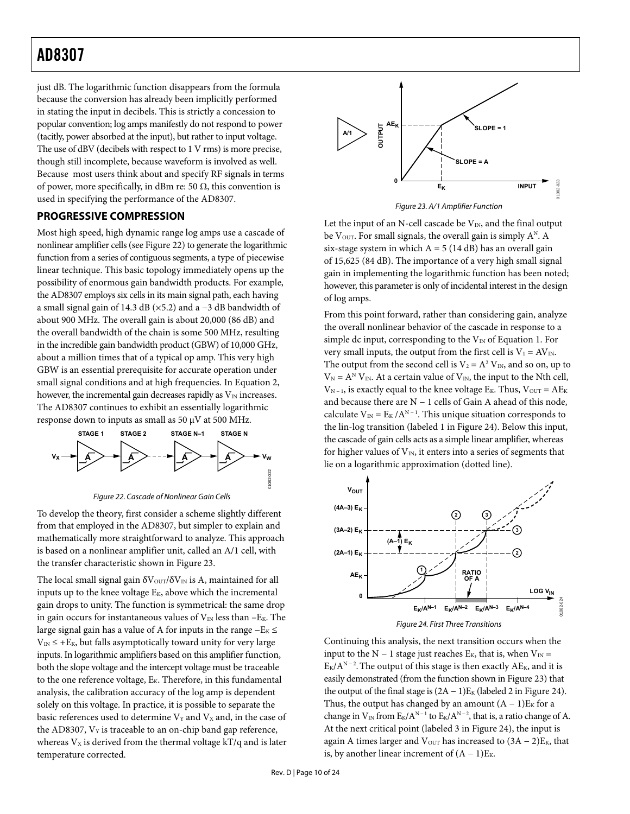<span id="page-9-0"></span>just dB. The logarithmic function disappears from the formula because the conversion has already been implicitly performed in stating the input in decibels. This is strictly a concession to popular convention; log amps manifestly do not respond to power (tacitly, power absorbed at the input), but rather to input voltage. The use of dBV (decibels with respect to 1 V rms) is more precise, though still incomplete, because waveform is involved as well. Because most users think about and specify RF signals in terms of power, more specifically, in dBm re: 50  $\Omega$ , this convention is used in specifying the performance of the AD8307.

### <span id="page-9-2"></span>**PROGRESSIVE COMPRESSION**

Most high speed, high dynamic range log amps use a cascade of nonlinear amplifier cells (see [Figure 22\)](#page-9-1) to generate the logarithmic function from a series of contiguous segments, a type of piecewise linear technique. This basic topology immediately opens up the possibility of enormous gain bandwidth products. For example, the AD8307 employs six cells in its main signal path, each having a small signal gain of 14.3 dB (×5.2) and a −3 dB bandwidth of about 900 MHz. The overall gain is about 20,000 (86 dB) and the overall bandwidth of the chain is some 500 MHz, resulting in the incredible gain bandwidth product (GBW) of 10,000 GHz, about a million times that of a typical op amp. This very high GBW is an essential prerequisite for accurate operation under small signal conditions and at high frequencies. In Equation 2, however, the incremental gain decreases rapidly as  $V_{\text{IN}}$  increases. The AD8307 continues to exhibit an essentially logarithmic response down to inputs as small as 50  $\mu$ V at 500 MHz.



Figure 22. Cascade of Nonlinear Gain Cells

<span id="page-9-1"></span>To develop the theory, first consider a scheme slightly different from that employed in the AD8307, but simpler to explain and mathematically more straightforward to analyze. This approach is based on a nonlinear amplifier unit, called an A/1 cell, with the transfer characteristic shown in [Figure 23](#page-9-2).

<span id="page-9-3"></span>The local small signal gain  $\delta V_{\text{OUT}}/\delta V_{\text{IN}}$  is A, maintained for all inputs up to the knee voltage  $E_K$ , above which the incremental gain drops to unity. The function is symmetrical: the same drop in gain occurs for instantaneous values of  $V_{IN}$  less than  $-E_K$ . The large signal gain has a value of A for inputs in the range  $-E_K$  ≤  $V_{\text{IN}} \leq +E_{\text{K}}$ , but falls asymptotically toward unity for very large inputs. In logarithmic amplifiers based on this amplifier function, both the slope voltage and the intercept voltage must be traceable to the one reference voltage, E<sub>K</sub>. Therefore, in this fundamental analysis, the calibration accuracy of the log amp is dependent solely on this voltage. In practice, it is possible to separate the basic references used to determine  $V_Y$  and  $V_X$  and, in the case of the AD8307,  $V_Y$  is traceable to an on-chip band gap reference, whereas  $V_X$  is derived from the thermal voltage kT/q and is later temperature corrected.



Figure 23. A/1 Amplifier Function

Let the input of an N-cell cascade be  $V_{IN}$ , and the final output be V<sub>OUT</sub>. For small signals, the overall gain is simply  $A^N$ . A six-stage system in which  $A = 5 (14 dB)$  has an overall gain of 15,625 (84 dB). The importance of a very high small signal gain in implementing the logarithmic function has been noted; however, this parameter is only of incidental interest in the design of log amps.

From this point forward, rather than considering gain, analyze the overall nonlinear behavior of the cascade in response to a simple dc input, corresponding to the  $V_{IN}$  of Equation 1. For very small inputs, the output from the first cell is  $V_1 = AV_{IN}$ . The output from the second cell is  $V_2 = A^2 V_{IN}$ , and so on, up to  $V_N = A^N V_N$ . At a certain value of  $V_N$ , the input to the Nth cell,  $V_{N-1}$ , is exactly equal to the knee voltage E<sub>K</sub>. Thus,  $V_{OUT} = AE_{K}$ and because there are N − 1 cells of Gain A ahead of this node, calculate  $V_{IN} = E_K / A^{N-1}$ . This unique situation corresponds to the lin-log transition (labeled 1 in [Figure 24](#page-9-3)). Below this input, the cascade of gain cells acts as a simple linear amplifier, whereas for higher values of  $V_{IN}$ , it enters into a series of segments that lie on a logarithmic approximation (dotted line).



Continuing this analysis, the next transition occurs when the input to the N – 1 stage just reaches  $E_K$ , that is, when  $V_{IN}$  =  $E_K/A^{N-2}$ . The output of this stage is then exactly AE<sub>K</sub>, and it is easily demonstrated (from the function shown in [Figure 23](#page-9-2)) that the output of the final stage is  $(2A - 1)E_K$  (labeled 2 in [Figure 24](#page-9-3)). Thus, the output has changed by an amount  $(A - 1)E<sub>K</sub>$  for a change in  $V_{\text{IN}}$  from  $E_K/A^{\text{N}-1}$  to  $E_K/A^{\text{N}-2}$ , that is, a ratio change of A. At the next critical point (labeled 3 in [Figure 24](#page-9-3)), the input is again A times larger and  $V_{\text{OUT}}$  has increased to  $(3A - 2)E_K$ , that is, by another linear increment of  $(A - 1)E_K$ .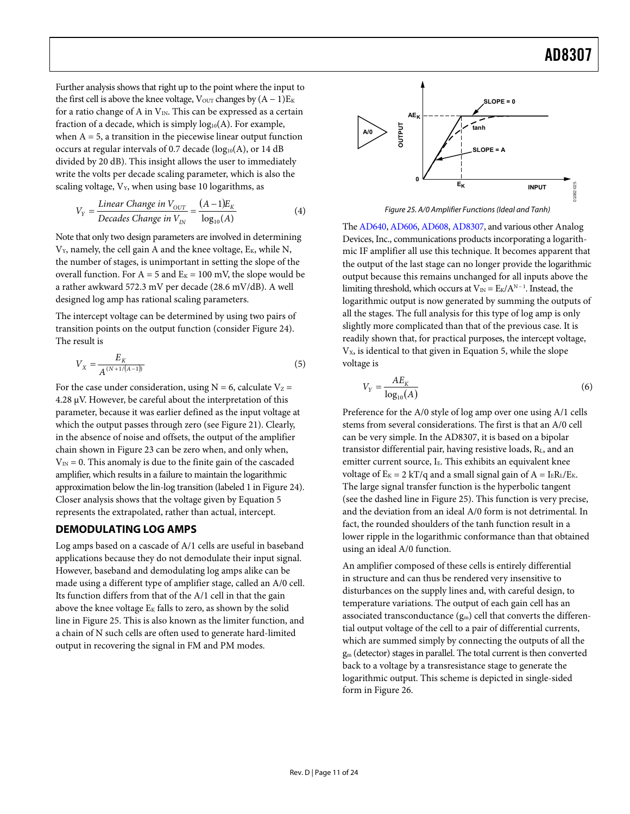<span id="page-10-0"></span>Further analysis shows that right up to the point where the input to the first cell is above the knee voltage,  $V_{\text{OUT}}$  changes by  $(A - 1)E_K$ for a ratio change of A in  $V_{IN}$ . This can be expressed as a certain fraction of a decade, which is simply  $log_{10}(A)$ . For example, when  $A = 5$ , a transition in the piecewise linear output function occurs at regular intervals of 0.7 decade  $(log_{10}(A)$ , or 14 dB divided by 20 dB). This insight allows the user to immediately write the volts per decade scaling parameter, which is also the scaling voltage,  $V_Y$ , when using base 10 logarithms, as

$$
V_Y = \frac{\text{Linear Change in } V_{OUT}}{\text{Decades Change in } V_{IN}} = \frac{(A-1)E_K}{\log_{10}(A)}\tag{4}
$$

<span id="page-10-1"></span>Note that only two design parameters are involved in determining  $V_Y$ , namely, the cell gain A and the knee voltage,  $E_K$ , while N, the number of stages, is unimportant in setting the slope of the overall function. For  $A = 5$  and  $E<sub>K</sub> = 100$  mV, the slope would be a rather awkward 572.3 mV per decade (28.6 mV/dB). A well designed log amp has rational scaling parameters.

The intercept voltage can be determined by using two pairs of transition points on the output function (consider [Figure 24\)](#page-9-3). The result is

$$
V_X = \frac{E_K}{A^{(N+1/(A-1))}}
$$
\n(5)

For the case under consideration, using  $N = 6$ , calculate  $V_Z =$ 4.28 μV. However, be careful about the interpretation of this parameter, because it was earlier defined as the input voltage at which the output passes through zero (see [Figure 21\)](#page-8-1). Clearly, in the absence of noise and offsets, the output of the amplifier chain shown in [Figure 23](#page-9-2) can be zero when, and only when,  $V_{IN} = 0$ . This anomaly is due to the finite gain of the cascaded amplifier, which results in a failure to maintain the logarithmic approximation below the lin-log transition (labeled 1 in [Figure 24\)](#page-9-3). Closer analysis shows that the voltage given by Equation 5 represents the extrapolated, rather than actual, intercept.

### **DEMODULATING LOG AMPS**

Log amps based on a cascade of A/1 cells are useful in baseband applications because they do not demodulate their input signal. However, baseband and demodulating log amps alike can be made using a different type of amplifier stage, called an A/0 cell. Its function differs from that of the A/1 cell in that the gain above the knee voltage  $E_K$  falls to zero, as shown by the solid line in [Figure 25.](#page-10-1) This is also known as the limiter function, and a chain of N such cells are often used to generate hard-limited output in recovering the signal in FM and PM modes.



Figure 25. A/0 Amplifier Functions (Ideal and Tanh)

The [AD640,](http://www.analog.com/ad640) [AD606,](http://www.analog.com/ad606) [AD608,](http://www.analog.com/ad608) [AD8307](http://www.analog.com/ad8307), and various other Analog Devices, Inc., communications products incorporating a logarithmic IF amplifier all use this technique. It becomes apparent that the output of the last stage can no longer provide the logarithmic output because this remains unchanged for all inputs above the limiting threshold, which occurs at  $V_{IN} = E_K/A^{N-1}$ . Instead, the logarithmic output is now generated by summing the outputs of all the stages. The full analysis for this type of log amp is only slightly more complicated than that of the previous case. It is readily shown that, for practical purposes, the intercept voltage, V<sub>x</sub>, is identical to that given in Equation 5, while the slope voltage is

$$
V_Y = \frac{AE_K}{\log_{10}(A)}\tag{6}
$$

Preference for the A/0 style of log amp over one using A/1 cells stems from several considerations. The first is that an A/0 cell can be very simple. In the AD8307, it is based on a bipolar transistor differential pair, having resistive loads, R<sub>L</sub>, and an emitter current source, I<sub>E</sub>. This exhibits an equivalent knee voltage of  $E_K = 2 kT/q$  and a small signal gain of  $A = I_E R_L/E_K$ . The large signal transfer function is the hyperbolic tangent (see the dashed line in [Figure 25](#page-10-1)). This function is very precise, and the deviation from an ideal A/0 form is not detrimental. In fact, the rounded shoulders of the tanh function result in a lower ripple in the logarithmic conformance than that obtained using an ideal A/0 function.

An amplifier composed of these cells is entirely differential in structure and can thus be rendered very insensitive to disturbances on the supply lines and, with careful design, to temperature variations. The output of each gain cell has an associated transconductance  $(g_m)$  cell that converts the differential output voltage of the cell to a pair of differential currents, which are summed simply by connecting the outputs of all the gm (detector) stages in parallel. The total current is then converted back to a voltage by a transresistance stage to generate the logarithmic output. This scheme is depicted in single-sided form in [Figure 26](#page-11-2).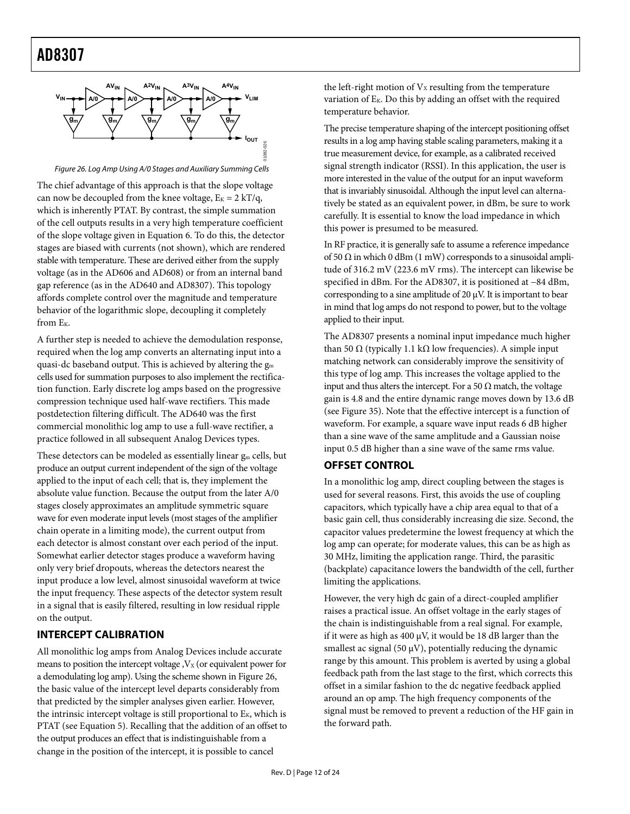<span id="page-11-1"></span><span id="page-11-0"></span>

Figure 26. Log Amp Using A/0 Stages and Auxiliary Summing Cells

<span id="page-11-2"></span>The chief advantage of this approach is that the slope voltage can now be decoupled from the knee voltage,  $E_K = 2 kT/q$ , which is inherently PTAT. By contrast, the simple summation of the cell outputs results in a very high temperature coefficient of the slope voltage given in Equation 6. To do this, the detector stages are biased with currents (not shown), which are rendered stable with temperature. These are derived either from the supply voltage (as in the AD606 and AD608) or from an internal band gap reference (as in the AD640 and AD8307). This topology affords complete control over the magnitude and temperature behavior of the logarithmic slope, decoupling it completely from  $E_K$ .

A further step is needed to achieve the demodulation response, required when the log amp converts an alternating input into a quasi-dc baseband output. This is achieved by altering the  $g<sub>m</sub>$ cells used for summation purposes to also implement the rectification function. Early discrete log amps based on the progressive compression technique used half-wave rectifiers. This made postdetection filtering difficult. The AD640 was the first commercial monolithic log amp to use a full-wave rectifier, a practice followed in all subsequent Analog Devices types.

These detectors can be modeled as essentially linear  $g_m$  cells, but produce an output current independent of the sign of the voltage applied to the input of each cell; that is, they implement the absolute value function. Because the output from the later A/0 stages closely approximates an amplitude symmetric square wave for even moderate input levels (most stages of the amplifier chain operate in a limiting mode), the current output from each detector is almost constant over each period of the input. Somewhat earlier detector stages produce a waveform having only very brief dropouts, whereas the detectors nearest the input produce a low level, almost sinusoidal waveform at twice the input frequency. These aspects of the detector system result in a signal that is easily filtered, resulting in low residual ripple on the output.

#### **INTERCEPT CALIBRATION**

All monolithic log amps from Analog Devices include accurate means to position the intercept voltage  $y_x$  (or equivalent power for a demodulating log amp). Using the scheme shown in [Figure 26](#page-11-2), the basic value of the intercept level departs considerably from that predicted by the simpler analyses given earlier. However, the intrinsic intercept voltage is still proportional to  $E_K$ , which is PTAT (see Equation 5). Recalling that the addition of an offset to the output produces an effect that is indistinguishable from a change in the position of the intercept, it is possible to cancel

the left-right motion of  $V<sub>X</sub>$  resulting from the temperature variation of EK. Do this by adding an offset with the required temperature behavior.

The precise temperature shaping of the intercept positioning offset results in a log amp having stable scaling parameters, making it a true measurement device, for example, as a calibrated received signal strength indicator (RSSI). In this application, the user is more interested in the value of the output for an input waveform that is invariably sinusoidal. Although the input level can alternatively be stated as an equivalent power, in dBm, be sure to work carefully. It is essential to know the load impedance in which this power is presumed to be measured.

In RF practice, it is generally safe to assume a reference impedance of 50  $\Omega$  in which 0 dBm (1 mW) corresponds to a sinusoidal amplitude of 316.2 mV (223.6 mV rms). The intercept can likewise be specified in dBm. For the AD8307, it is positioned at −84 dBm, corresponding to a sine amplitude of 20  $\mu$ V. It is important to bear in mind that log amps do not respond to power, but to the voltage applied to their input.

The AD8307 presents a nominal input impedance much higher than 50 Ω (typically 1.1 kΩ low frequencies). A simple input matching network can considerably improve the sensitivity of this type of log amp. This increases the voltage applied to the input and thus alters the intercept. For a 50  $\Omega$  match, the voltage gain is 4.8 and the entire dynamic range moves down by 13.6 dB (see [Figure 35\)](#page-17-1). Note that the effective intercept is a function of waveform. For example, a square wave input reads 6 dB higher than a sine wave of the same amplitude and a Gaussian noise input 0.5 dB higher than a sine wave of the same rms value.

### **OFFSET CONTROL**

In a monolithic log amp, direct coupling between the stages is used for several reasons. First, this avoids the use of coupling capacitors, which typically have a chip area equal to that of a basic gain cell, thus considerably increasing die size. Second, the capacitor values predetermine the lowest frequency at which the log amp can operate; for moderate values, this can be as high as 30 MHz, limiting the application range. Third, the parasitic (backplate) capacitance lowers the bandwidth of the cell, further limiting the applications.

However, the very high dc gain of a direct-coupled amplifier raises a practical issue. An offset voltage in the early stages of the chain is indistinguishable from a real signal. For example, if it were as high as 400 μV, it would be 18 dB larger than the smallest ac signal (50  $\mu$ V), potentially reducing the dynamic range by this amount. This problem is averted by using a global feedback path from the last stage to the first, which corrects this offset in a similar fashion to the dc negative feedback applied around an op amp. The high frequency components of the signal must be removed to prevent a reduction of the HF gain in the forward path.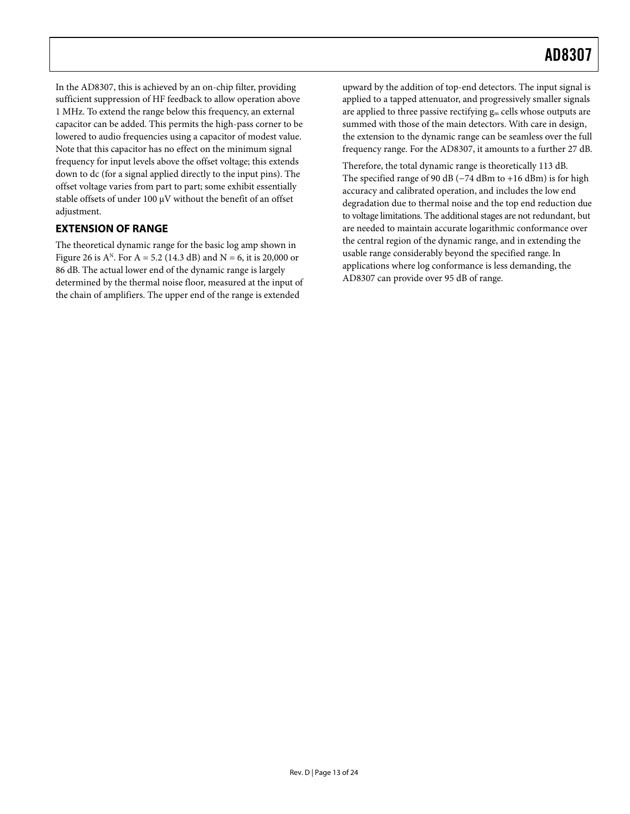<span id="page-12-0"></span>In the AD8307, this is achieved by an on-chip filter, providing sufficient suppression of HF feedback to allow operation above 1 MHz. To extend the range below this frequency, an external capacitor can be added. This permits the high-pass corner to be lowered to audio frequencies using a capacitor of modest value. Note that this capacitor has no effect on the minimum signal frequency for input levels above the offset voltage; this extends down to dc (for a signal applied directly to the input pins). The offset voltage varies from part to part; some exhibit essentially stable offsets of under 100 μV without the benefit of an offset adjustment.

### **EXTENSION OF RANGE**

The theoretical dynamic range for the basic log amp shown in [Figure 26](#page-11-2) is  $A^N$ . For  $A = 5.2$  (14.3 dB) and  $N = 6$ , it is 20,000 or 86 dB. The actual lower end of the dynamic range is largely determined by the thermal noise floor, measured at the input of the chain of amplifiers. The upper end of the range is extended

upward by the addition of top-end detectors. The input signal is applied to a tapped attenuator, and progressively smaller signals are applied to three passive rectifying gm cells whose outputs are summed with those of the main detectors. With care in design, the extension to the dynamic range can be seamless over the full frequency range. For the AD8307, it amounts to a further 27 dB.

Therefore, the total dynamic range is theoretically 113 dB. The specified range of 90 dB (−74 dBm to +16 dBm) is for high accuracy and calibrated operation, and includes the low end degradation due to thermal noise and the top end reduction due to voltage limitations. The additional stages are not redundant, but are needed to maintain accurate logarithmic conformance over the central region of the dynamic range, and in extending the usable range considerably beyond the specified range. In applications where log conformance is less demanding, the AD8307 can provide over 95 dB of range.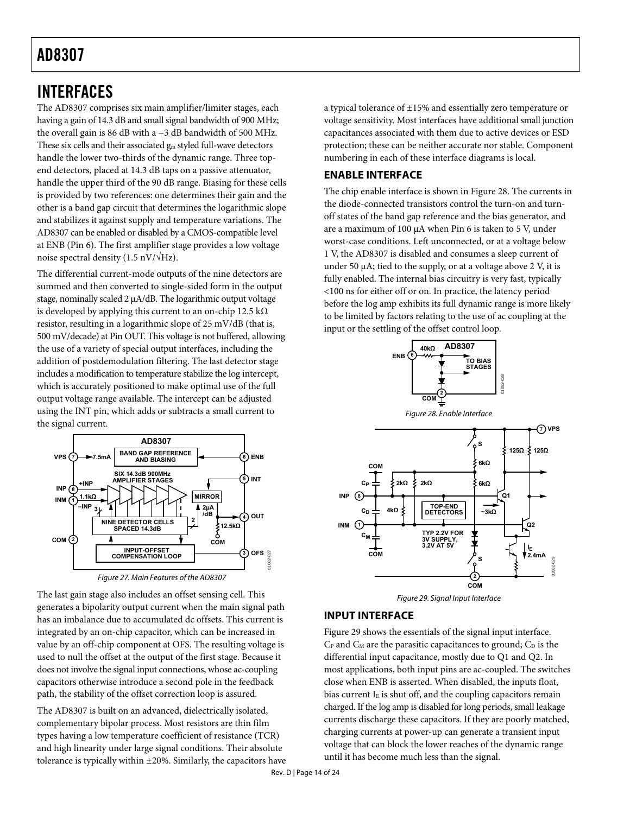### <span id="page-13-1"></span><span id="page-13-0"></span>INTERFACES

The AD8307 comprises six main amplifier/limiter stages, each having a gain of 14.3 dB and small signal bandwidth of 900 MHz; the overall gain is 86 dB with a −3 dB bandwidth of 500 MHz. These six cells and their associated  $g_m$  styled full-wave detectors handle the lower two-thirds of the dynamic range. Three topend detectors, placed at 14.3 dB taps on a passive attenuator, handle the upper third of the 90 dB range. Biasing for these cells is provided by two references: one determines their gain and the other is a band gap circuit that determines the logarithmic slope and stabilizes it against supply and temperature variations. The AD8307 can be enabled or disabled by a CMOS-compatible level at ENB (Pin 6). The first amplifier stage provides a low voltage noise spectral density (1.5 nV/ $\sqrt{\text{Hz}}$ ).

The differential current-mode outputs of the nine detectors are summed and then converted to single-sided form in the output stage, nominally scaled 2 μA/dB. The logarithmic output voltage is developed by applying this current to an on-chip 12.5 kΩ resistor, resulting in a logarithmic slope of 25 mV/dB (that is, 500 mV/decade) at Pin OUT. This voltage is not buffered, allowing the use of a variety of special output interfaces, including the addition of postdemodulation filtering. The last detector stage includes a modification to temperature stabilize the log intercept, which is accurately positioned to make optimal use of the full output voltage range available. The intercept can be adjusted using the INT pin, which adds or subtracts a small current to the signal current.

<span id="page-13-2"></span>

<span id="page-13-3"></span>The last gain stage also includes an offset sensing cell. This generates a bipolarity output current when the main signal path has an imbalance due to accumulated dc offsets. This current is integrated by an on-chip capacitor, which can be increased in value by an off-chip component at OFS. The resulting voltage is used to null the offset at the output of the first stage. Because it does not involve the signal input connections, whose ac-coupling capacitors otherwise introduce a second pole in the feedback path, the stability of the offset correction loop is assured.

The AD8307 is built on an advanced, dielectrically isolated, complementary bipolar process. Most resistors are thin film types having a low temperature coefficient of resistance (TCR) and high linearity under large signal conditions. Their absolute tolerance is typically within ±20%. Similarly, the capacitors have a typical tolerance of ±15% and essentially zero temperature or voltage sensitivity. Most interfaces have additional small junction capacitances associated with them due to active devices or ESD protection; these can be neither accurate nor stable. Component numbering in each of these interface diagrams is local.

### **ENABLE INTERFACE**

The chip enable interface is shown in [Figure 28](#page-13-2). The currents in the diode-connected transistors control the turn-on and turnoff states of the band gap reference and the bias generator, and are a maximum of 100 μA when Pin 6 is taken to 5 V, under worst-case conditions. Left unconnected, or at a voltage below 1 V, the AD8307 is disabled and consumes a sleep current of under 50 μA; tied to the supply, or at a voltage above 2 V, it is fully enabled. The internal bias circuitry is very fast, typically <100 ns for either off or on. In practice, the latency period before the log amp exhibits its full dynamic range is more likely to be limited by factors relating to the use of ac coupling at the input or the settling of the offset control loop.





### **INPUT INTERFACE**

[Figure 29](#page-13-3) shows the essentials of the signal input interface.  $C_P$  and  $C_M$  are the parasitic capacitances to ground;  $C_D$  is the differential input capacitance, mostly due to Q1 and Q2. In most applications, both input pins are ac-coupled. The switches close when ENB is asserted. When disabled, the inputs float, bias current  $I<sub>E</sub>$  is shut off, and the coupling capacitors remain charged. If the log amp is disabled for long periods, small leakage currents discharge these capacitors. If they are poorly matched, charging currents at power-up can generate a transient input voltage that can block the lower reaches of the dynamic range until it has become much less than the signal.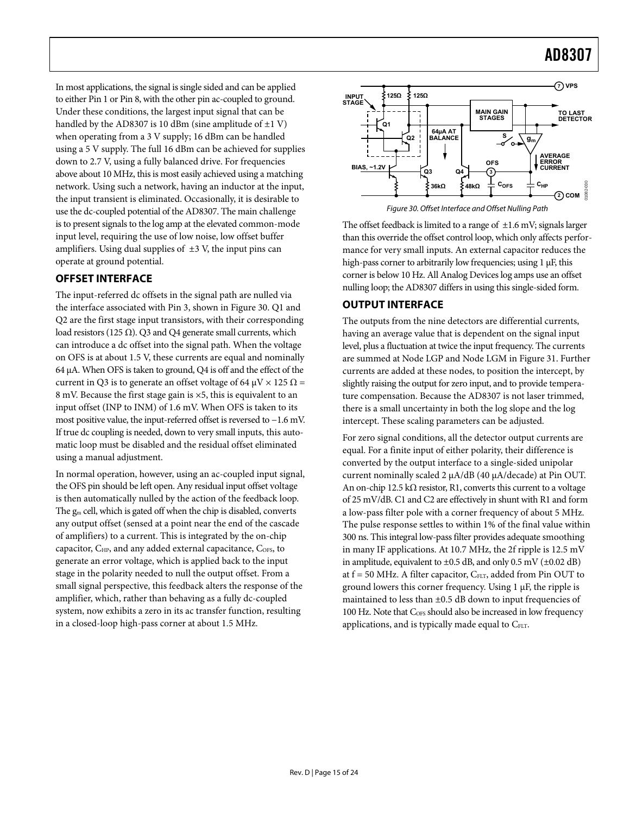<span id="page-14-0"></span>In most applications, the signal is single sided and can be applied to either Pin 1 or Pin 8, with the other pin ac-coupled to ground. Under these conditions, the largest input signal that can be handled by the AD8307 is 10 dBm (sine amplitude of  $\pm 1$  V) when operating from a 3 V supply; 16 dBm can be handled using a 5 V supply. The full 16 dBm can be achieved for supplies down to 2.7 V, using a fully balanced drive. For frequencies above about 10 MHz, this is most easily achieved using a matching network. Using such a network, having an inductor at the input, the input transient is eliminated. Occasionally, it is desirable to use the dc-coupled potential of the AD8307. The main challenge is to present signals to the log amp at the elevated common-mode input level, requiring the use of low noise, low offset buffer amplifiers. Using dual supplies of  $\pm 3$  V, the input pins can operate at ground potential.

### <span id="page-14-1"></span>**OFFSET INTERFACE**

The input-referred dc offsets in the signal path are nulled via the interface associated with Pin 3, shown in [Figure 30.](#page-14-1) Q1 and Q2 are the first stage input transistors, with their corresponding load resistors (125  $\Omega$ ). Q3 and Q4 generate small currents, which can introduce a dc offset into the signal path. When the voltage on OFS is at about 1.5 V, these currents are equal and nominally 64 μA. When OFS is taken to ground, Q4 is off and the effect of the current in Q3 is to generate an offset voltage of 64  $\mu$ V  $\times$  125  $\Omega$  = 8 mV. Because the first stage gain is ×5, this is equivalent to an input offset (INP to INM) of 1.6 mV. When OFS is taken to its most positive value, the input-referred offset is reversed to −1.6 mV. If true dc coupling is needed, down to very small inputs, this automatic loop must be disabled and the residual offset eliminated using a manual adjustment.

In normal operation, however, using an ac-coupled input signal, the OFS pin should be left open. Any residual input offset voltage is then automatically nulled by the action of the feedback loop. The gm cell, which is gated off when the chip is disabled, converts any output offset (sensed at a point near the end of the cascade of amplifiers) to a current. This is integrated by the on-chip capacitor, C<sub>HP</sub>, and any added external capacitance, C<sub>OFS</sub>, to generate an error voltage, which is applied back to the input stage in the polarity needed to null the output offset. From a small signal perspective, this feedback alters the response of the amplifier, which, rather than behaving as a fully dc-coupled system, now exhibits a zero in its ac transfer function, resulting in a closed-loop high-pass corner at about 1.5 MHz.



Figure 30. Offset Interface and Offset Nulling Path

The offset feedback is limited to a range of  $\pm 1.6$  mV; signals larger than this override the offset control loop, which only affects performance for very small inputs. An external capacitor reduces the high-pass corner to arbitrarily low frequencies; using 1 μF, this corner is below 10 Hz. All Analog Devices log amps use an offset nulling loop; the AD8307 differs in using this single-sided form.

### **OUTPUT INTERFACE**

The outputs from the nine detectors are differential currents, having an average value that is dependent on the signal input level, plus a fluctuation at twice the input frequency. The currents are summed at Node LGP and Node LGM in [Figure 31](#page-15-0). Further currents are added at these nodes, to position the intercept, by slightly raising the output for zero input, and to provide temperature compensation. Because the AD8307 is not laser trimmed, there is a small uncertainty in both the log slope and the log intercept. These scaling parameters can be adjusted.

For zero signal conditions, all the detector output currents are equal. For a finite input of either polarity, their difference is converted by the output interface to a single-sided unipolar current nominally scaled 2 μA/dB (40 μA/decade) at Pin OUT. An on-chip 12.5 kΩ resistor, R1, converts this current to a voltage of 25 mV/dB. C1 and C2 are effectively in shunt with R1 and form a low-pass filter pole with a corner frequency of about 5 MHz. The pulse response settles to within 1% of the final value within 300 ns. This integral low-pass filter provides adequate smoothing in many IF applications. At 10.7 MHz, the 2f ripple is 12.5 mV in amplitude, equivalent to  $\pm 0.5$  dB, and only 0.5 mV ( $\pm 0.02$  dB) at  $f = 50$  MHz. A filter capacitor,  $C_{FLT}$ , added from Pin OUT to ground lowers this corner frequency. Using 1 μF, the ripple is maintained to less than ±0.5 dB down to input frequencies of 100 Hz. Note that C<sub>OFS</sub> should also be increased in low frequency applications, and is typically made equal to  $C_{FLT}$ .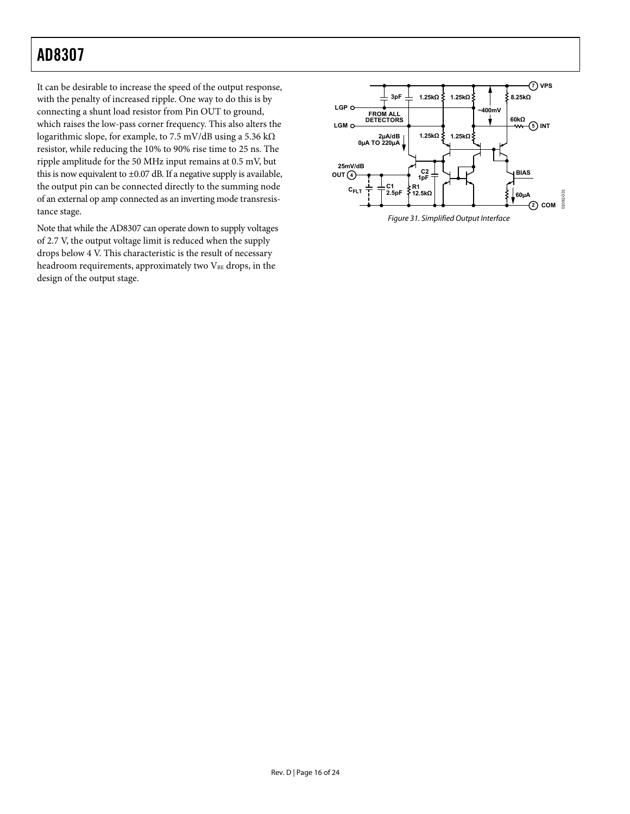It can be desirable to increase the speed of the output response, with the penalty of increased ripple. One way to do this is by connecting a shunt load resistor from Pin OUT to ground, which raises the low-pass corner frequency. This also alters the logarithmic slope, for example, to 7.5 mV/dB using a 5.36 kΩ resistor, while reducing the 10% to 90% rise time to 25 ns. The ripple amplitude for the 50 MHz input remains at 0.5 mV, but this is now equivalent to  $\pm 0.07$  dB. If a negative supply is available, the output pin can be connected directly to the summing node of an external op amp connected as an inverting mode transresistance stage.

<span id="page-15-0"></span>Note that while the AD8307 can operate down to supply voltages of 2.7 V, the output voltage limit is reduced when the supply drops below 4 V. This characteristic is the result of necessary headroom requirements, approximately two  $V_{BE}$  drops, in the design of the output stage.

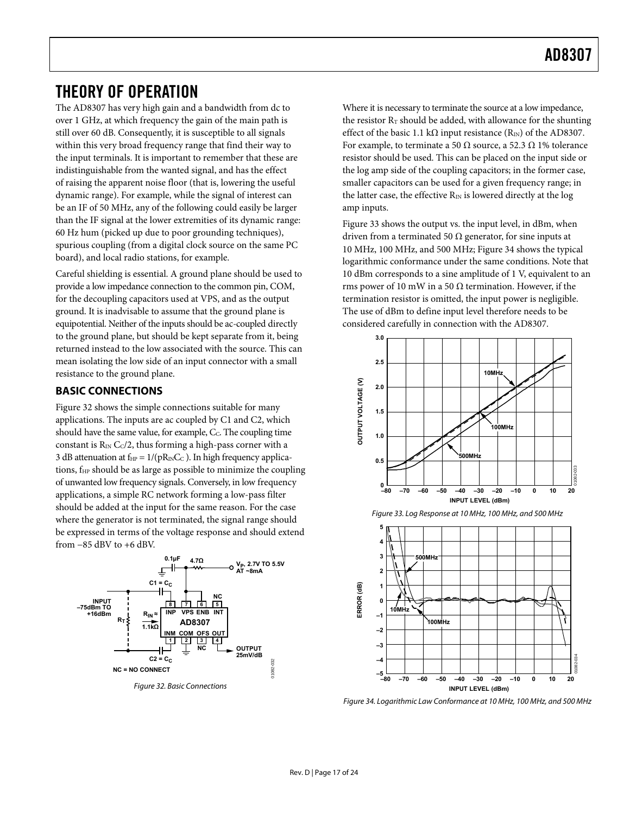### <span id="page-16-0"></span>THEORY OF OPERATION

The AD8307 has very high gain and a bandwidth from dc to over 1 GHz, at which frequency the gain of the main path is still over 60 dB. Consequently, it is susceptible to all signals within this very broad frequency range that find their way to the input terminals. It is important to remember that these are indistinguishable from the wanted signal, and has the effect of raising the apparent noise floor (that is, lowering the useful dynamic range). For example, while the signal of interest can be an IF of 50 MHz, any of the following could easily be larger than the IF signal at the lower extremities of its dynamic range: 60 Hz hum (picked up due to poor grounding techniques), spurious coupling (from a digital clock source on the same PC board), and local radio stations, for example.

Careful shielding is essential. A ground plane should be used to provide a low impedance connection to the common pin, COM, for the decoupling capacitors used at VPS, and as the output ground. It is inadvisable to assume that the ground plane is equipotential. Neither of the inputs should be ac-coupled directly to the ground plane, but should be kept separate from it, being returned instead to the low associated with the source. This can mean isolating the low side of an input connector with a small resistance to the ground plane.

### **BASIC CONNECTIONS**

[Figure 32](#page-16-1) shows the simple connections suitable for many applications. The inputs are ac coupled by C1 and C2, which should have the same value, for example, C<sub>C</sub>. The coupling time constant is  $R_{\text{IN}}$  C $c/2$ , thus forming a high-pass corner with a 3 dB attenuation at  $f_{HP} = 1/(pR_{IN}C_C)$ . In high frequency applications, f<sub>HP</sub> should be as large as possible to minimize the coupling of unwanted low frequency signals. Conversely, in low frequency applications, a simple RC network forming a low-pass filter should be added at the input for the same reason. For the case where the generator is not terminated, the signal range should be expressed in terms of the voltage response and should extend from −85 dBV to +6 dBV.

<span id="page-16-2"></span>

<span id="page-16-3"></span><span id="page-16-1"></span>Figure 32. Basic Connections

Where it is necessary to terminate the source at a low impedance, the resistor  $R_T$  should be added, with allowance for the shunting effect of the basic 1.1 kΩ input resistance  $(R_{\text{IN}})$  of the AD8307. For example, to terminate a 50  $\Omega$  source, a 52.3  $\Omega$  1% tolerance resistor should be used. This can be placed on the input side or the log amp side of the coupling capacitors; in the former case, smaller capacitors can be used for a given frequency range; in the latter case, the effective  $R_{IN}$  is lowered directly at the log amp inputs.

[Figure 33](#page-16-2) shows the output vs. the input level, in dBm, when driven from a terminated 50  $\Omega$  generator, for sine inputs at 10 MHz, 100 MHz, and 500 MHz; [Figure 34](#page-16-3) shows the typical logarithmic conformance under the same conditions. Note that 10 dBm corresponds to a sine amplitude of 1 V, equivalent to an rms power of 10 mW in a 50  $\Omega$  termination. However, if the termination resistor is omitted, the input power is negligible. The use of dBm to define input level therefore needs to be considered carefully in connection with the AD8307.





**100MHz**

Figure 33. Log Response at 10 MHz, 100 MHz, and 500 MHz



**–80 –70 –60 –50 –40 –30 –20 –10 0 10 20**

**INPUT LEVEL (dBm)**

01082-034

**–4 –5**

**–3 –2**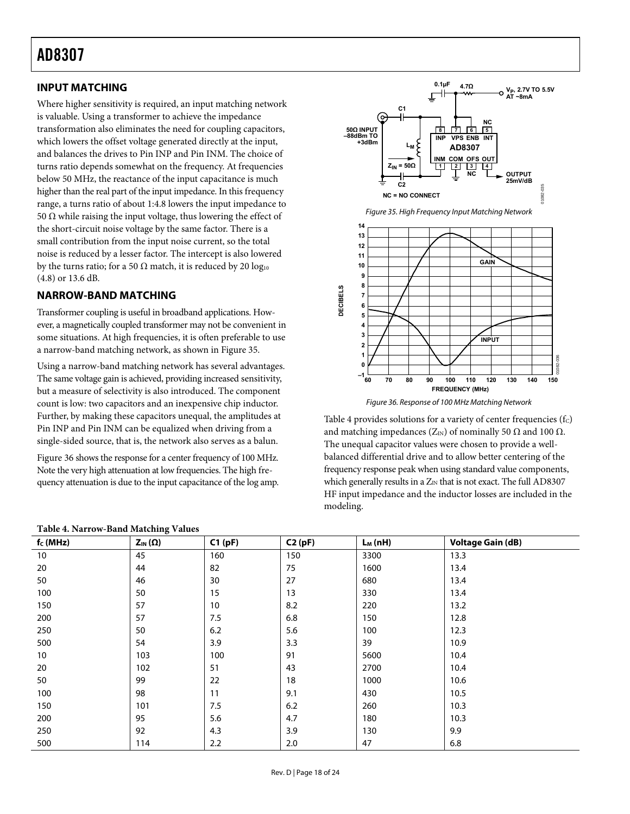### <span id="page-17-0"></span>**INPUT MATCHING**

Where higher sensitivity is required, an input matching network is valuable. Using a transformer to achieve the impedance transformation also eliminates the need for coupling capacitors, which lowers the offset voltage generated directly at the input, and balances the drives to Pin INP and Pin INM. The choice of turns ratio depends somewhat on the frequency. At frequencies below 50 MHz, the reactance of the input capacitance is much higher than the real part of the input impedance. In this frequency range, a turns ratio of about 1:4.8 lowers the input impedance to 50  $\Omega$  while raising the input voltage, thus lowering the effect of the short-circuit noise voltage by the same factor. There is a small contribution from the input noise current, so the total noise is reduced by a lesser factor. The intercept is also lowered by the turns ratio; for a 50  $\Omega$  match, it is reduced by 20 log<sub>10</sub> (4.8) or 13.6 dB.

### <span id="page-17-1"></span>**NARROW-BAND MATCHING**

Transformer coupling is useful in broadband applications. However, a magnetically coupled transformer may not be convenient in some situations. At high frequencies, it is often preferable to use a narrow-band matching network, as shown in [Figure 35](#page-17-1).

<span id="page-17-2"></span>Using a narrow-band matching network has several advantages. The same voltage gain is achieved, providing increased sensitivity, but a measure of selectivity is also introduced. The component count is low: two capacitors and an inexpensive chip inductor. Further, by making these capacitors unequal, the amplitudes at Pin INP and Pin INM can be equalized when driving from a single-sided source, that is, the network also serves as a balun.

[Figure 36](#page-17-2) shows the response for a center frequency of 100 MHz. Note the very high attenuation at low frequencies. The high frequency attenuation is due to the input capacitance of the log amp.



Figure 36. Response of 100 MHz Matching Network

[Table 4](#page-17-3) provides solutions for a variety of center frequencies  $(f_C)$ and matching impedances ( $Z_{\text{IN}}$ ) of nominally 50  $\Omega$  and 100  $\Omega$ . The unequal capacitor values were chosen to provide a wellbalanced differential drive and to allow better centering of the frequency response peak when using standard value components, which generally results in a  $Z_{IN}$  that is not exact. The full AD8307 HF input impedance and the inductor losses are included in the modeling.

<span id="page-17-3"></span>

| $f_c(MHz)$ | $Z_{\text{IN}}(\Omega)$ | C1(pF) | C2(pF) | $L_M(nH)$ | <b>Voltage Gain (dB)</b> |
|------------|-------------------------|--------|--------|-----------|--------------------------|
| 10         | 45                      | 160    | 150    | 3300      | 13.3                     |
| 20         | 44                      | 82     | 75     | 1600      | 13.4                     |
| 50         | 46                      | 30     | 27     | 680       | 13.4                     |
| 100        | 50                      | 15     | 13     | 330       | 13.4                     |
| 150        | 57                      | 10     | 8.2    | 220       | 13.2                     |
| 200        | 57                      | 7.5    | 6.8    | 150       | 12.8                     |
| 250        | 50                      | 6.2    | 5.6    | 100       | 12.3                     |
| 500        | 54                      | 3.9    | 3.3    | 39        | 10.9                     |
| 10         | 103                     | 100    | 91     | 5600      | 10.4                     |
| 20         | 102                     | 51     | 43     | 2700      | 10.4                     |
| 50         | 99                      | 22     | 18     | 1000      | 10.6                     |
| 100        | 98                      | 11     | 9.1    | 430       | 10.5                     |
| 150        | 101                     | 7.5    | 6.2    | 260       | 10.3                     |
| 200        | 95                      | 5.6    | 4.7    | 180       | 10.3                     |
| 250        | 92                      | 4.3    | 3.9    | 130       | 9.9                      |
| 500        | 114                     | 2.2    | 2.0    | 47        | 6.8                      |

#### **Table 4. Narrow-Band Matching Values**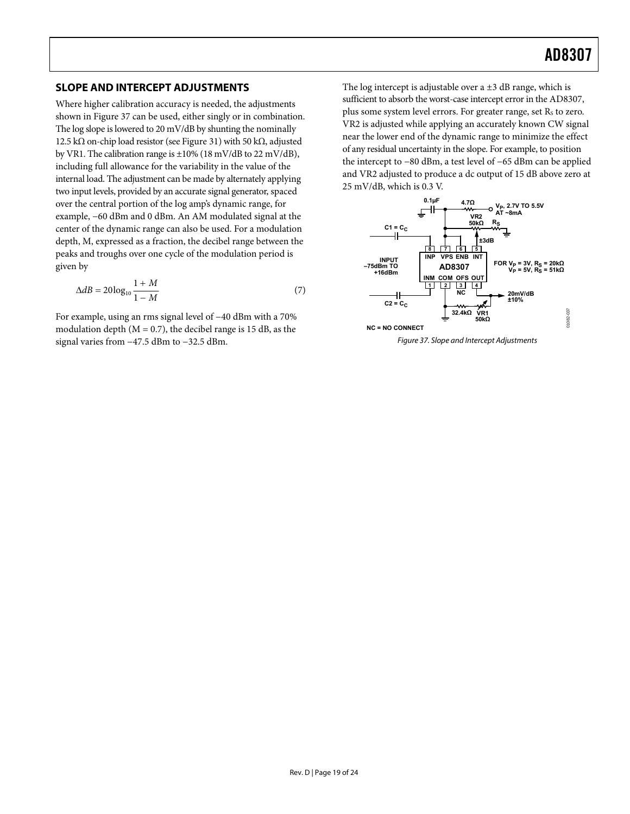### <span id="page-18-1"></span><span id="page-18-0"></span>**SLOPE AND INTERCEPT ADJUSTMENTS**

Where higher calibration accuracy is needed, the adjustments shown in [Figure 37](#page-18-2) can be used, either singly or in combination. The log slope is lowered to 20 mV/dB by shunting the nominally 12.5 kΩ on-chip load resistor (see [Figure 31](#page-15-0)) with 50 kΩ, adjusted by VR1. The calibration range is  $\pm 10\%$  (18 mV/dB to 22 mV/dB), including full allowance for the variability in the value of the internal load. The adjustment can be made by alternately applying two input levels, provided by an accurate signal generator, spaced over the central portion of the log amp's dynamic range, for example, −60 dBm and 0 dBm. An AM modulated signal at the center of the dynamic range can also be used. For a modulation depth, M, expressed as a fraction, the decibel range between the peaks and troughs over one cycle of the modulation period is given by

$$
\Delta dB = 20\log_{10}\frac{1+M}{1-M} \tag{7}
$$

<span id="page-18-2"></span>For example, using an rms signal level of −40 dBm with a 70% modulation depth  $(M = 0.7)$ , the decibel range is 15 dB, as the signal varies from −47.5 dBm to −32.5 dBm.

The log intercept is adjustable over a  $\pm 3$  dB range, which is sufficient to absorb the worst-case intercept error in the AD8307, plus some system level errors. For greater range, set  $R_s$  to zero. VR2 is adjusted while applying an accurately known CW signal near the lower end of the dynamic range to minimize the effect of any residual uncertainty in the slope. For example, to position the intercept to −80 dBm, a test level of −65 dBm can be applied and VR2 adjusted to produce a dc output of 15 dB above zero at 25 mV/dB, which is 0.3 V.



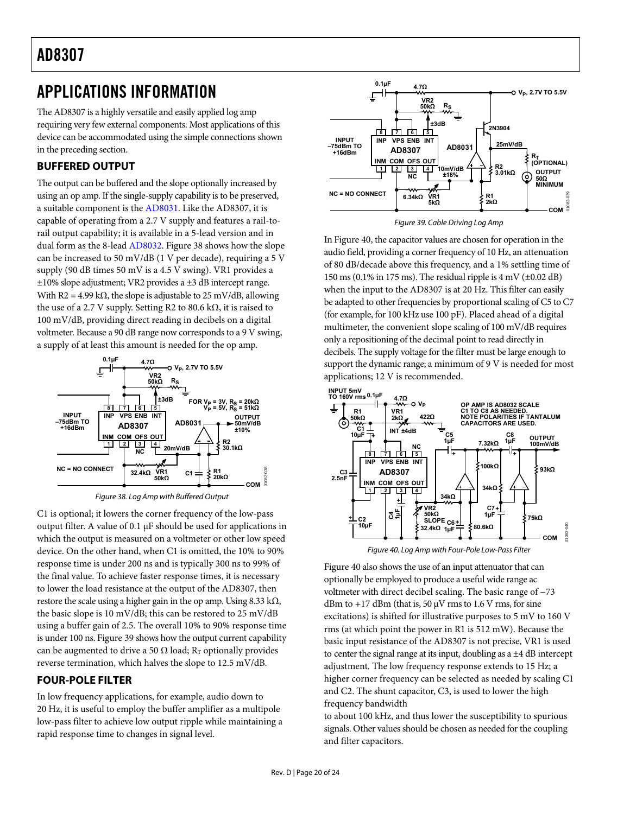### <span id="page-19-1"></span><span id="page-19-0"></span>APPLICATIONS INFORMATION

The AD8307 is a highly versatile and easily applied log amp requiring very few external components. Most applications of this device can be accommodated using the simple connections shown in the preceding section.

### **BUFFERED OUTPUT**

<span id="page-19-3"></span>The output can be buffered and the slope optionally increased by using an op amp. If the single-supply capability is to be preserved, a suitable component is the [AD8031](http://www.analog.com/ad8031). Like the AD8307, it is capable of operating from a 2.7 V supply and features a rail-torail output capability; it is available in a 5-lead version and in dual form as the 8-lead [AD8032](http://www.analog.com/ad8032). [Figure 38](#page-19-2) shows how the slope can be increased to 50 mV/dB (1 V per decade), requiring a 5 V supply (90 dB times 50 mV is a 4.5 V swing). VR1 provides a ±10% slope adjustment; VR2 provides a ±3 dB intercept range. With R2 = 4.99 k $\Omega$ , the slope is adjustable to 25 mV/dB, allowing the use of a 2.7 V supply. Setting R2 to 80.6 kΩ, it is raised to 100 mV/dB, providing direct reading in decibels on a digital voltmeter. Because a 90 dB range now corresponds to a 9 V swing, a supply of at least this amount is needed for the op amp.



Figure 38. Log Amp with Buffered Output

<span id="page-19-4"></span><span id="page-19-2"></span>C1 is optional; it lowers the corner frequency of the low-pass output filter. A value of 0.1 μF should be used for applications in which the output is measured on a voltmeter or other low speed device. On the other hand, when C1 is omitted, the 10% to 90% response time is under 200 ns and is typically 300 ns to 99% of the final value. To achieve faster response times, it is necessary to lower the load resistance at the output of the AD8307, then restore the scale using a higher gain in the op amp. Using  $8.33 \text{ k}\Omega$ , the basic slope is 10 mV/dB; this can be restored to 25 mV/dB using a buffer gain of 2.5. The overall 10% to 90% response time is under 100 ns. [Figure 39](#page-19-3) shows how the output current capability can be augmented to drive a 50  $\Omega$  load; R<sub>T</sub> optionally provides reverse termination, which halves the slope to 12.5 mV/dB.

### **FOUR-POLE FILTER**

In low frequency applications, for example, audio down to 20 Hz, it is useful to employ the buffer amplifier as a multipole low-pass filter to achieve low output ripple while maintaining a rapid response time to changes in signal level.



Figure 39. Cable Driving Log Amp

In [Figure 40](#page-19-4), the capacitor values are chosen for operation in the audio field, providing a corner frequency of 10 Hz, an attenuation of 80 dB/decade above this frequency, and a 1% settling time of 150 ms (0.1% in 175 ms). The residual ripple is  $4 \text{ mV}$  ( $\pm 0.02 \text{ dB}$ ) when the input to the AD8307 is at 20 Hz. This filter can easily be adapted to other frequencies by proportional scaling of C5 to C7 (for example, for 100 kHz use 100 pF). Placed ahead of a digital multimeter, the convenient slope scaling of 100 mV/dB requires only a repositioning of the decimal point to read directly in decibels. The supply voltage for the filter must be large enough to support the dynamic range; a minimum of 9 V is needed for most applications; 12 V is recommended.



Figure 40. Log Amp with Four-Pole Low-Pass Filter

[Figure 40](#page-19-4) also shows the use of an input attenuator that can optionally be employed to produce a useful wide range ac voltmeter with direct decibel scaling. The basic range of −73 dBm to +17 dBm (that is, 50  $\mu$ V rms to 1.6 V rms, for sine excitations) is shifted for illustrative purposes to 5 mV to 160 V rms (at which point the power in R1 is 512 mW). Because the basic input resistance of the AD8307 is not precise, VR1 is used to center the signal range at its input, doubling as a  $\pm 4$  dB intercept adjustment. The low frequency response extends to 15 Hz; a higher corner frequency can be selected as needed by scaling C1 and C2. The shunt capacitor, C3, is used to lower the high frequency bandwidth

to about 100 kHz, and thus lower the susceptibility to spurious signals. Other values should be chosen as needed for the coupling and filter capacitors.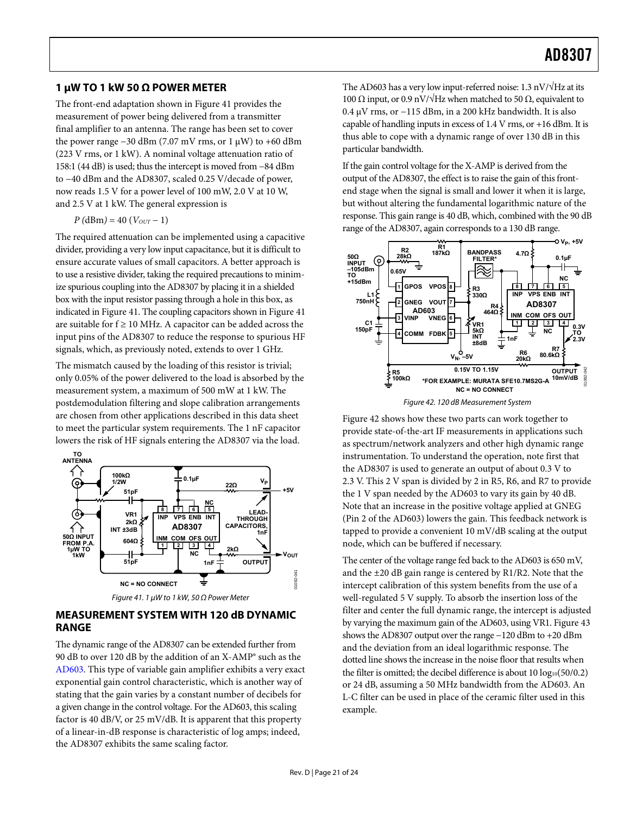### <span id="page-20-1"></span><span id="page-20-0"></span>**1 μW TO 1 kW 50 Ω POWER METER**

The front-end adaptation shown in [Figure 41](#page-20-2) provides the measurement of power being delivered from a transmitter final amplifier to an antenna. The range has been set to cover the power range −30 dBm (7.07 mV rms, or 1 μW) to +60 dBm (223 V rms, or 1 kW). A nominal voltage attenuation ratio of 158:1 (44 dB) is used; thus the intercept is moved from −84 dBm to −40 dBm and the AD8307, scaled 0.25 V/decade of power, now reads 1.5 V for a power level of 100 mW, 2.0 V at 10 W, and 2.5 V at 1 kW. The general expression is

 $P(dBm) = 40 (V_{OUT} - 1)$ 

The required attenuation can be implemented using a capacitive divider, providing a very low input capacitance, but it is difficult to ensure accurate values of small capacitors. A better approach is to use a resistive divider, taking the required precautions to minimize spurious coupling into the AD8307 by placing it in a shielded box with the input resistor passing through a hole in this box, as indicated in [Figure 41](#page-20-2). The coupling capacitors shown in [Figure 41](#page-20-2) are suitable for  $f \ge 10$  MHz. A capacitor can be added across the input pins of the AD8307 to reduce the response to spurious HF signals, which, as previously noted, extends to over 1 GHz.

<span id="page-20-3"></span>The mismatch caused by the loading of this resistor is trivial; only 0.05% of the power delivered to the load is absorbed by the measurement system, a maximum of 500 mW at 1 kW. The postdemodulation filtering and slope calibration arrangements are chosen from other applications described in this data sheet to meet the particular system requirements. The 1 nF capacitor lowers the risk of HF signals entering the AD8307 via the load.



#### <span id="page-20-2"></span>**MEASUREMENT SYSTEM WITH 120 dB DYNAMIC RANGE**

The dynamic range of the AD8307 can be extended further from 90 dB to over 120 dB by the addition of an X-AMP® such as the [AD603](http://www.analog.com/ad603). This type of variable gain amplifier exhibits a very exact exponential gain control characteristic, which is another way of stating that the gain varies by a constant number of decibels for a given change in the control voltage. For the [AD603,](http://www.analog.com/ad603) this scaling factor is 40 dB/V, or 25 mV/dB. It is apparent that this property of a linear-in-dB response is characteristic of log amps; indeed, the AD8307 exhibits the same scaling factor.

The AD603 has a very low input-referred noise:  $1.3 \text{ nV}/\sqrt{\text{Hz}}$  at its 100 Ω input, or 0.9 nV/ $\sqrt{Hz}$  when matched to 50 Ω, equivalent to 0.4 μV rms, or −115 dBm, in a 200 kHz bandwidth. It is also capable of handling inputs in excess of 1.4 V rms, or +16 dBm. It is thus able to cope with a dynamic range of over 130 dB in this particular bandwidth.

If the gain control voltage for the X-AMP is derived from the output of the AD8307, the effect is to raise the gain of this frontend stage when the signal is small and lower it when it is large, but without altering the fundamental logarithmic nature of the response. This gain range is 40 dB, which, combined with the 90 dB range of the AD8307, again corresponds to a 130 dB range.



Figure 42. 120 dB Measurement System

[Figure 42](#page-20-3) shows how these two parts can work together to provide state-of-the-art IF measurements in applications such as spectrum/network analyzers and other high dynamic range instrumentation. To understand the operation, note first that the AD8307 is used to generate an output of about 0.3 V to 2.3 V. This 2 V span is divided by 2 in R5, R6, and R7 to provide the 1 V span needed by the [AD603](http://www.analog.com/ad603) to vary its gain by 40 dB. Note that an increase in the positive voltage applied at GNEG (Pin 2 of the AD603) lowers the gain. This feedback network is tapped to provide a convenient 10 mV/dB scaling at the output node, which can be buffered if necessary.

The center of the voltage range fed back to the AD603 is 650 mV, and the ±20 dB gain range is centered by R1/R2. Note that the intercept calibration of this system benefits from the use of a well-regulated 5 V supply. To absorb the insertion loss of the filter and center the full dynamic range, the intercept is adjusted by varying the maximum gain of the AD603, using VR1. [Figure 43](#page-21-1) shows the AD8307 output over the range −120 dBm to +20 dBm and the deviation from an ideal logarithmic response. The dotted line shows the increase in the noise floor that results when the filter is omitted; the decibel difference is about  $10 \log_{10}(50/0.2)$ or 24 dB, assuming a 50 MHz bandwidth from the AD603. An L-C filter can be used in place of the ceramic filter used in this example.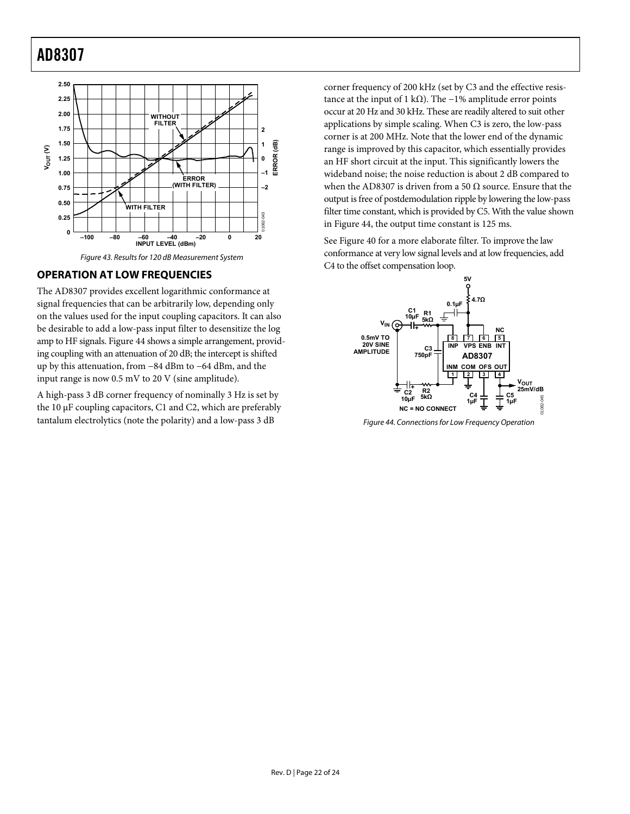<span id="page-21-0"></span>

### <span id="page-21-1"></span>**OPERATION AT LOW FREQUENCIES**

The AD8307 provides excellent logarithmic conformance at signal frequencies that can be arbitrarily low, depending only on the values used for the input coupling capacitors. It can also be desirable to add a low-pass input filter to desensitize the log amp to HF signals. [Figure 44](#page-21-2) shows a simple arrangement, providing coupling with an attenuation of 20 dB; the intercept is shifted up by this attenuation, from −84 dBm to −64 dBm, and the input range is now 0.5 mV to 20 V (sine amplitude).

<span id="page-21-2"></span>A high-pass 3 dB corner frequency of nominally 3 Hz is set by the 10 μF coupling capacitors, C1 and C2, which are preferably tantalum electrolytics (note the polarity) and a low-pass 3 dB

corner frequency of 200 kHz (set by C3 and the effective resistance at the input of 1 kΩ). The  $-1%$  amplitude error points occur at 20 Hz and 30 kHz. These are readily altered to suit other applications by simple scaling. When C3 is zero, the low-pass corner is at 200 MHz. Note that the lower end of the dynamic range is improved by this capacitor, which essentially provides an HF short circuit at the input. This significantly lowers the wideband noise; the noise reduction is about 2 dB compared to when the AD8307 is driven from a 50  $\Omega$  source. Ensure that the output is free of postdemodulation ripple by lowering the low-pass filter time constant, which is provided by C5. With the value shown in [Figure 44](#page-21-2), the output time constant is 125 ms.

See [Figure 40](#page-19-4) for a more elaborate filter. To improve the law conformance at very low signal levels and at low frequencies, add C4 to the offset compensation loop.



Figure 44. Connections for Low Frequency Operation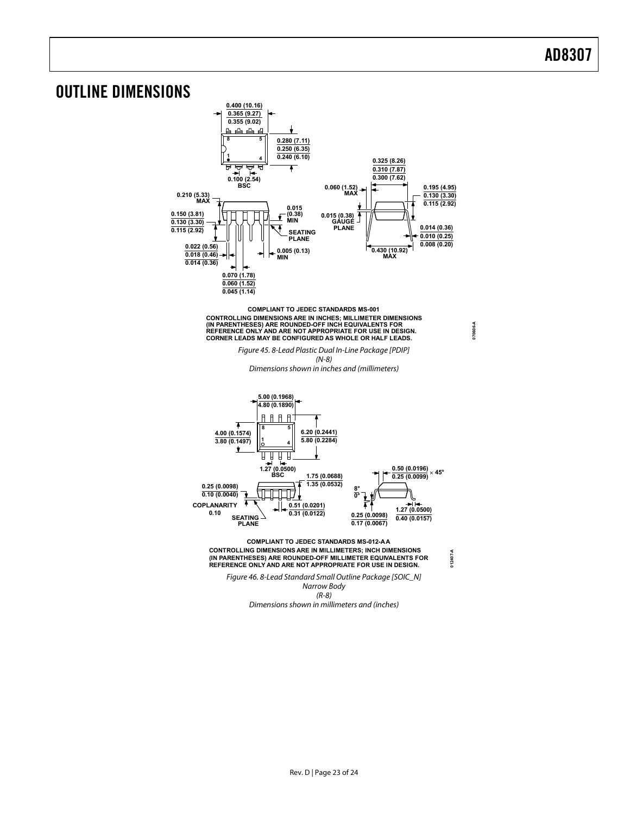### <span id="page-22-0"></span>OUTLINE DIMENSIONS



Dimensions shown in millimeters and (inches)